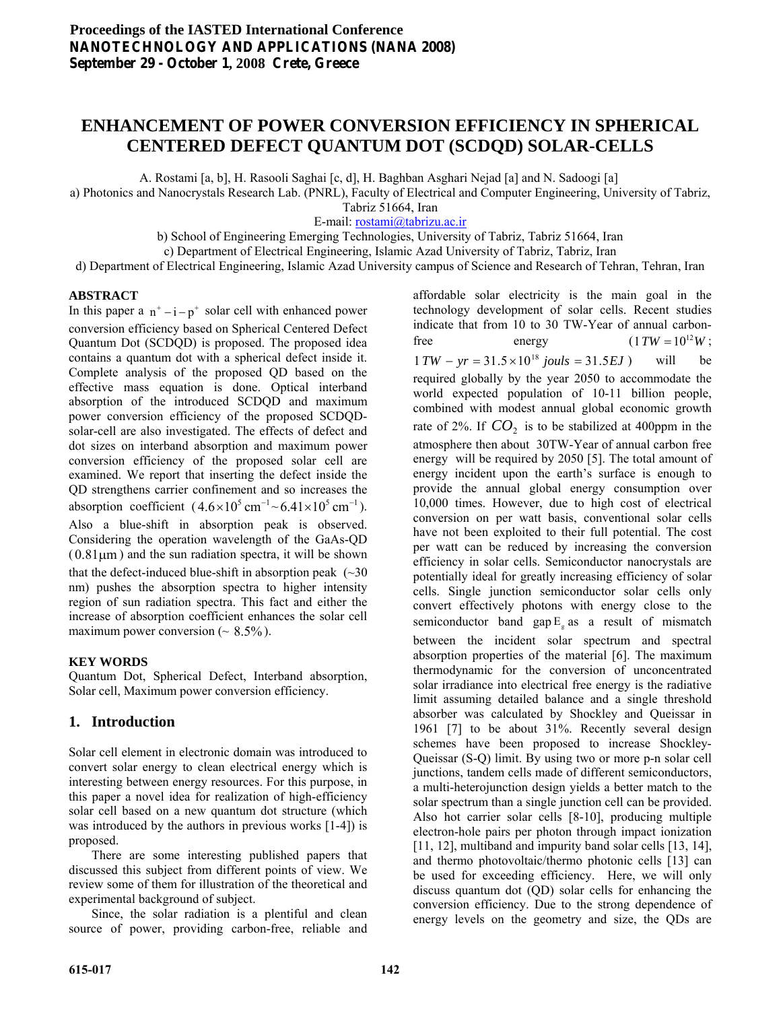## **ENHANCEMENT OF POWER CONVERSION EFFICIENCY IN SPHERICAL CENTERED DEFECT QUANTUM DOT (SCDQD) SOLAR-CELLS**

A. Rostami [a, b], H. Rasooli Saghai [c, d], H. Baghban Asghari Nejad [a] and N. Sadoogi [a]

a) Photonics and Nanocrystals Research Lab. (PNRL), Faculty of Electrical and Computer Engineering, University of Tabriz,

Tabriz 51664, Iran

E-mail: [rostami@tabrizu.ac.ir](mailto:rostami@tabrizu.ac.ir)

b) School of Engineering Emerging Technologies, University of Tabriz, Tabriz 51664, Iran

c) Department of Electrical Engineering, Islamic Azad University of Tabriz, Tabriz, Iran

d) Department of Electrical Engineering, Islamic Azad University campus of Science and Research of Tehran, Tehran, Iran

## **ABSTRACT**

In this paper a  $n^+ - i - p^+$  solar cell with enhanced power conversion efficiency based on Spherical Centered Defect Quantum Dot (SCDQD) is proposed. The proposed idea contains a quantum dot with a spherical defect inside it. Complete analysis of the proposed QD based on the effective mass equation is done. Optical interband absorption of the introduced SCDQD and maximum power conversion efficiency of the proposed SCDQDsolar-cell are also investigated. The effects of defect and dot sizes on interband absorption and maximum power conversion efficiency of the proposed solar cell are examined. We report that inserting the defect inside the QD strengthens carrier confinement and so increases the absorption coefficient  $(4.6 \times 10^5 \text{ cm}^{-1} \sim 6.41 \times 10^5 \text{ cm}^{-1})$ . Also a blue-shift in absorption peak is observed. Considering the operation wavelength of the GaAs-QD  $(0.81 \mu m)$  and the sun radiation spectra, it will be shown that the defect-induced blue-shift in absorption peak  $(\sim 30)$ nm) pushes the absorption spectra to higher intensity region of sun radiation spectra. This fact and either the increase of absorption coefficient enhances the solar cell maximum power conversion ( $\sim 8.5\%$ ).

## **KEY WORDS**

Quantum Dot, Spherical Defect, Interband absorption, Solar cell, Maximum power conversion efficiency.

## **1. Introduction**

Solar cell element in electronic domain was introduced to convert solar energy to clean electrical energy which is interesting between energy resources. For this purpose, in this paper a novel idea for realization of high-efficiency solar cell based on a new quantum dot structure (which was introduced by the authors in previous works [1-4]) is proposed.

 There are some interesting published papers that discussed this subject from different points of view. We review some of them for illustration of the theoretical and experimental background of subject.

 Since, the solar radiation is a plentiful and clean source of power, providing carbon-free, reliable and

affordable solar electricity is the main goal in the technology development of solar cells. Recent studies indicate that from 10 to 30 TW-Year of annual carbonfree energy  $(1 TW = 10^{12}W)$ ; will be required globally by the year 2050 to accommodate the world expected population of 10-11 billion people, combined with modest annual global economic growth rate of 2%. If  $CO_2$  is to be stabilized at 400ppm in the atmosphere then about 30TW-Year of annual carbon free energy will be required by 2050 [5]. The total amount of energy incident upon the earth's surface is enough to provide the annual global energy consumption over 10,000 times. However, due to high cost of electrical conversion on per watt basis, conventional solar cells have not been exploited to their full potential. The cost per watt can be reduced by increasing the conversion efficiency in solar cells. Semiconductor nanocrystals are potentially ideal for greatly increasing efficiency of solar cells. Single junction semiconductor solar cells only convert effectively photons with energy close to the semiconductor band gap  $E<sub>g</sub>$  as a result of mismatch between the incident solar spectrum and spectral absorption properties of the material [6]. The maximum thermodynamic for the conversion of unconcentrated solar irradiance into electrical free energy is the radiative limit assuming detailed balance and a single threshold absorber was calculated by Shockley and Queissar in 1961 [7] to be about 31%. Recently several design schemes have been proposed to increase Shockley-Queissar (S-Q) limit. By using two or more p-n solar cell junctions, tandem cells made of different semiconductors, a multi-heterojunction design yields a better match to the solar spectrum than a single junction cell can be provided. Also hot carrier solar cells [8-10], producing multiple electron-hole pairs per photon through impact ionization [11, 12], multiband and impurity band solar cells [13, 14], and thermo photovoltaic/thermo photonic cells [13] can be used for exceeding efficiency. Here, we will only discuss quantum dot (QD) solar cells for enhancing the conversion efficiency. Due to the strong dependence of energy levels on the geometry and size, the QDs are  $1 TW - yr = 31.5 \times 10^{18}$  *jouls* = 31.5*EJ* )